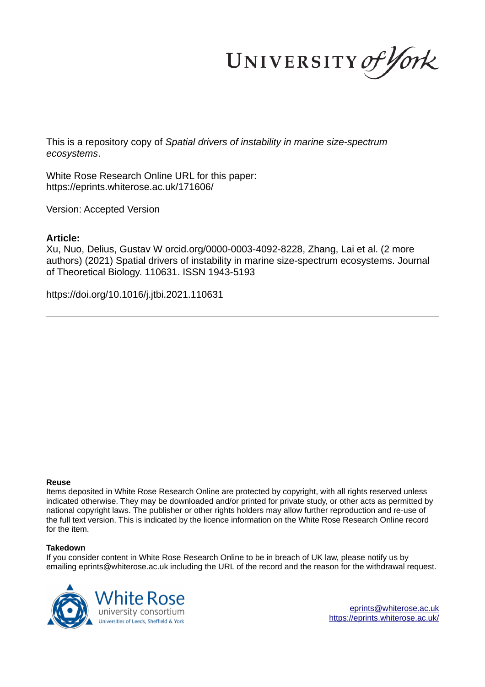UNIVERSITY of York

This is a repository copy of *Spatial drivers of instability in marine size-spectrum ecosystems*.

White Rose Research Online URL for this paper: https://eprints.whiterose.ac.uk/171606/

Version: Accepted Version

# **Article:**

Xu, Nuo, Delius, Gustav W orcid.org/0000-0003-4092-8228, Zhang, Lai et al. (2 more authors) (2021) Spatial drivers of instability in marine size-spectrum ecosystems. Journal of Theoretical Biology. 110631. ISSN 1943-5193

https://doi.org/10.1016/j.jtbi.2021.110631

#### **Reuse**

Items deposited in White Rose Research Online are protected by copyright, with all rights reserved unless indicated otherwise. They may be downloaded and/or printed for private study, or other acts as permitted by national copyright laws. The publisher or other rights holders may allow further reproduction and re-use of the full text version. This is indicated by the licence information on the White Rose Research Online record for the item.

#### **Takedown**

If you consider content in White Rose Research Online to be in breach of UK law, please notify us by emailing eprints@whiterose.ac.uk including the URL of the record and the reason for the withdrawal request.



eprints@whiterose.ac.uk https://eprints.whiterose.ac.uk/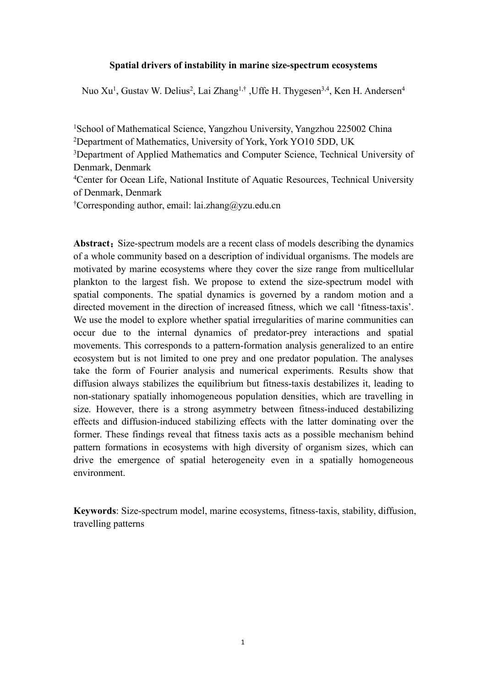# **Spatial drivers of instability in marine size-spectrum ecosystems**

Nuo Xu<sup>1</sup>, Gustav W. Delius<sup>2</sup>, Lai Zhang<sup>1,†</sup> ,Uffe H. Thygesen<sup>3,4</sup>, Ken H. Andersen<sup>4</sup>

<sup>1</sup>School of Mathematical Science, Yangzhou University, Yangzhou 225002 China <sup>2</sup>Department of Mathematics, University of York, York YO10 5DD, UK <sup>3</sup>Department of Applied Mathematics and Computer Science, Technical University of Denmark, Denmark <sup>4</sup>Center for Ocean Life, National Institute of Aquatic Resources, Technical University of Denmark, Denmark †Corresponding author, email: lai.zhang@yzu.edu.cn

Abstract: Size-spectrum models are a recent class of models describing the dynamics of a whole community based on a description of individual organisms. The models are motivated by marine ecosystems where they cover the size range from multicellular plankton to the largest fish. We propose to extend the size-spectrum model with spatial components. The spatial dynamics is governed by a random motion and a directed movement in the direction of increased fitness, which we call 'fitness-taxis'. We use the model to explore whether spatial irregularities of marine communities can occur due to the internal dynamics of predator-prey interactions and spatial movements. This corresponds to a pattern-formation analysis generalized to an entire ecosystem but is not limited to one prey and one predator population. The analyses take the form of Fourier analysis and numerical experiments. Results show that diffusion always stabilizes the equilibrium but fitness-taxis destabilizes it, leading to non-stationary spatially inhomogeneous population densities, which are travelling in size. However, there is a strong asymmetry between fitness-induced destabilizing effects and diffusion-induced stabilizing effects with the latter dominating over the former. These findings reveal that fitness taxis acts as a possible mechanism behind pattern formations in ecosystems with high diversity of organism sizes, which can drive the emergence of spatial heterogeneity even in a spatially homogeneous environment.

**Keywords**: Size-spectrum model, marine ecosystems, fitness-taxis, stability, diffusion, travelling patterns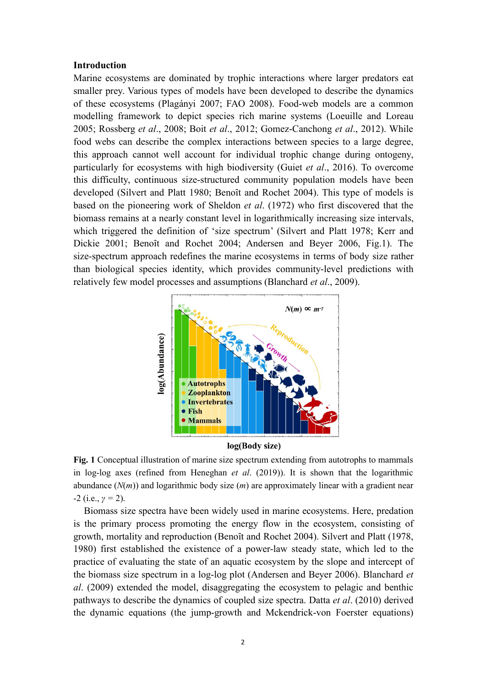## **Introduction**

Marine ecosystems are dominated by trophic interactions where larger predators eat smaller prey. Various types of models have been developed to describe the dynamics of these ecosystems (Plagányi 2007; FAO 2008). Food-web models are a common modelling framework to depict species rich marine systems (Loeuille and Loreau 2005; Rossberg *et al*., 2008; Boit *et al*., 2012; Gomez-Canchong *et al*., 2012). While food webs can describe the complex interactions between species to a large degree, this approach cannot well account for individual trophic change during ontogeny, particularly for ecosystems with high biodiversity (Guiet *et al*., 2016). To overcome this difficulty, continuous size-structured community population models have been developed (Silvert and Platt 1980; Benoît and Rochet 2004). This type of models is based on the pioneering work of Sheldon *et al*. (1972) who first discovered that the biomass remains at a nearly constant level in logarithmically increasing size intervals, which triggered the definition of 'size spectrum' (Silvert and Platt 1978; Kerr and Dickie 2001; Benoît and Rochet 2004; Andersen and Beyer 2006, Fig.1). The size-spectrum approach redefines the marine ecosystems in terms of body size rather than biological species identity, which provides community-level predictions with relatively few model processes and assumptions (Blanchard *et al*., 2009).



log(Body size)

**Fig. 1** Conceptual illustration of marine size spectrum extending from autotrophs to mammals in log-log axes (refined from Heneghan *et al*. (2019)). It is shown that the logarithmic abundance (*N*(*m*)) and logarithmic body size (*m*) are approximately linear with a gradient near -2 (i.e., *γ =* 2).

Biomass size spectra have been widely used in marine ecosystems. Here, predation is the primary process promoting the energy flow in the ecosystem, consisting of growth, mortality and reproduction (Benoȋt and Rochet 2004). Silvert and Platt (1978, 1980) first established the existence of a power-law steady state, which led to the practice of evaluating the state of an aquatic ecosystem by the slope and intercept of the biomass size spectrum in a log-log plot (Andersen and Beyer 2006). Blanchard *et al*. (2009) extended the model, disaggregating the ecosystem to pelagic and benthic pathways to describe the dynamics of coupled size spectra. Datta *et al*. (2010) derived the dynamic equations (the jump-growth and Mckendrick-von Foerster equations)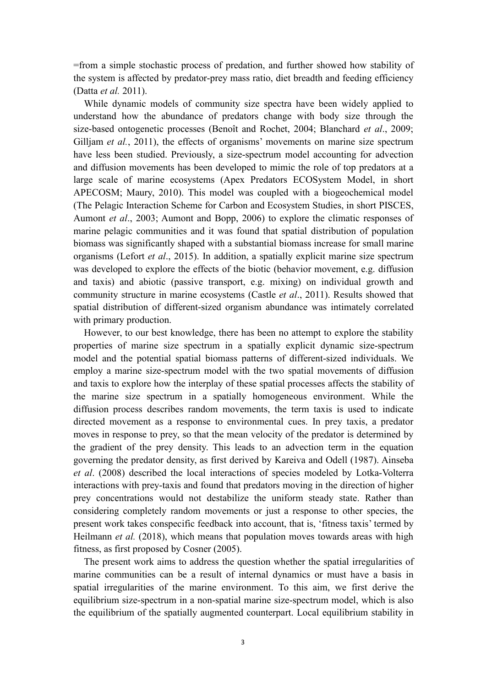=from a simple stochastic process of predation, and further showed how stability of the system is affected by predator-prey mass ratio, diet breadth and feeding efficiency (Datta *et al.* 2011).

While dynamic models of community size spectra have been widely applied to understand how the abundance of predators change with body size through the size-based ontogenetic processes (Benoît and Rochet, 2004; Blanchard *et al*., 2009; Gilljam *et al.*, 2011), the effects of organisms' movements on marine size spectrum have less been studied. Previously, a size-spectrum model accounting for advection and diffusion movements has been developed to mimic the role of top predators at a large scale of marine ecosystems (Apex Predators ECOSystem Model, in short APECOSM; Maury, 2010). This model was coupled with a biogeochemical model (The Pelagic Interaction Scheme for Carbon and Ecosystem Studies, in short PISCES, Aumont *et al*., 2003; Aumont and Bopp, 2006) to explore the climatic responses of marine pelagic communities and it was found that spatial distribution of population biomass was significantly shaped with a substantial biomass increase for small marine organisms (Lefort *et al*., 2015). In addition, a spatially explicit marine size spectrum was developed to explore the effects of the biotic (behavior movement, e.g. diffusion and taxis) and abiotic (passive transport, e.g. mixing) on individual growth and community structure in marine ecosystems (Castle *et al*., 2011). Results showed that spatial distribution of different-sized organism abundance was intimately correlated with primary production.

However, to our best knowledge, there has been no attempt to explore the stability properties of marine size spectrum in a spatially explicit dynamic size-spectrum model and the potential spatial biomass patterns of different-sized individuals. We employ a marine size-spectrum model with the two spatial movements of diffusion and taxis to explore how the interplay of these spatial processes affects the stability of the marine size spectrum in a spatially homogeneous environment. While the diffusion process describes random movements, the term taxis is used to indicate directed movement as a response to environmental cues. In prey taxis, a predator moves in response to prey, so that the mean velocity of the predator is determined by the gradient of the prey density. This leads to an advection term in the equation governing the predator density, as first derived by Kareiva and Odell (1987). Ainseba *et al*. (2008) described the local interactions of species modeled by Lotka-Volterra interactions with prey-taxis and found that predators moving in the direction of higher prey concentrations would not destabilize the uniform steady state. Rather than considering completely random movements or just a response to other species, the present work takes conspecific feedback into account, that is, 'fitness taxis' termed by Heilmann *et al.* (2018), which means that population moves towards areas with high fitness, as first proposed by Cosner (2005).

The present work aims to address the question whether the spatial irregularities of marine communities can be a result of internal dynamics or must have a basis in spatial irregularities of the marine environment. To this aim, we first derive the equilibrium size-spectrum in a non-spatial marine size-spectrum model, which is also the equilibrium of the spatially augmented counterpart. Local equilibrium stability in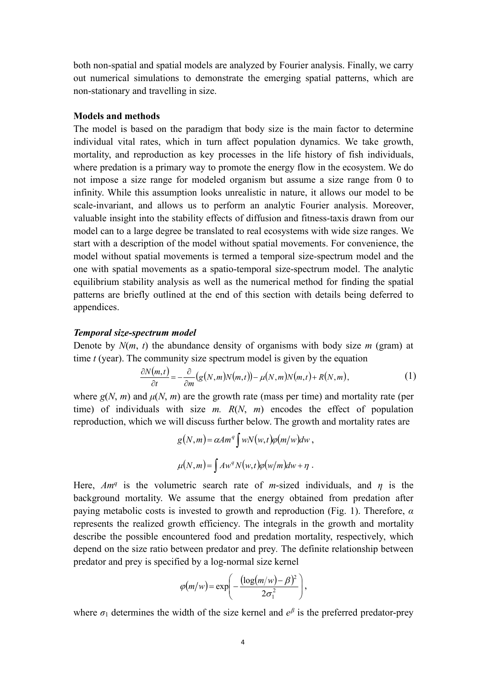both non-spatial and spatial models are analyzed by Fourier analysis. Finally, we carry out numerical simulations to demonstrate the emerging spatial patterns, which are non-stationary and travelling in size.

## **Models and methods**

The model is based on the paradigm that body size is the main factor to determine individual vital rates, which in turn affect population dynamics. We take growth, mortality, and reproduction as key processes in the life history of fish individuals, where predation is a primary way to promote the energy flow in the ecosystem. We do not impose a size range for modeled organism but assume a size range from 0 to infinity. While this assumption looks unrealistic in nature, it allows our model to be scale-invariant, and allows us to perform an analytic Fourier analysis. Moreover, valuable insight into the stability effects of diffusion and fitness-taxis drawn from our model can to a large degree be translated to real ecosystems with wide size ranges. We start with a description of the model without spatial movements. For convenience, the model without spatial movements is termed a temporal size-spectrum model and the one with spatial movements as a spatio-temporal size-spectrum model. The analytic equilibrium stability analysis as well as the numerical method for finding the spatial patterns are briefly outlined at the end of this section with details being deferred to appendices.

### *Temporal size-spectrum model*

Denote by  $N(m, t)$  the abundance density of organisms with body size  $m$  (gram) at time *t* (year). The community size spectrum model is given by the equation

$$
\frac{\partial N(m,t)}{\partial t} = -\frac{\partial}{\partial m} (g(N,m)N(m,t)) - \mu(N,m)N(m,t) + R(N,m),\tag{1}
$$

where  $g(N, m)$  and  $\mu(N, m)$  are the growth rate (mass per time) and mortality rate (per time) of individuals with size *m. R*(*N*, *m*) encodes the effect of population reproduction, which we will discuss further below. The growth and mortality rates are

$$
g(N,m) = \alpha A m^q \int wN(w,t)\varphi(m/w)dw,
$$
  

$$
\mu(N,m) = \int Aw^q N(w,t)\varphi(w/m)dw + \eta.
$$

Here,  $Am<sup>q</sup>$  is the volumetric search rate of *m*-sized individuals, and *η* is the background mortality. We assume that the energy obtained from predation after paying metabolic costs is invested to growth and reproduction (Fig. 1). Therefore, *α* represents the realized growth efficiency. The integrals in the growth and mortality describe the possible encountered food and predation mortality, respectively, which depend on the size ratio between predator and prey*.* The definite relationship between predator and prey is specified by a log-normal size kernel

$$
\varphi(m/w) = \exp\left(-\frac{(\log(m/w) - \beta)^2}{2\sigma_1^2}\right),\,
$$

where  $\sigma_1$  determines the width of the size kernel and  $e^{\beta}$  is the preferred predator-prey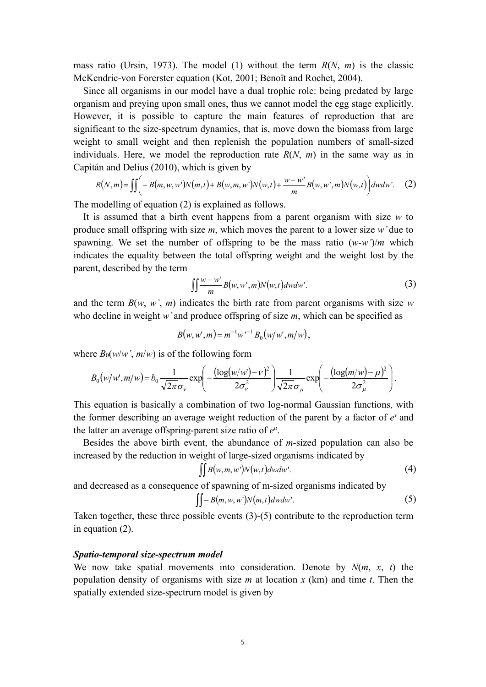mass ratio (Ursin, 1973). The model (1) without the term *R*(*N*, *m*) is the classic McKendric-von Forerster equation (Kot, 2001; Benoît and Rochet, 2004).

Since all organisms in our model have a dual trophic role: being predated by large organism and preying upon small ones, thus we cannot model the egg stage explicitly. However, it is possible to capture the main features of reproduction that are significant to the size-spectrum dynamics, that is, move down the biomass from large weight to small weight and then replenish the population numbers of small-sized individuals. Here, we model the reproduction rate *R*(*N*, *m*) in the same way as in Capitán and Delius (2010), which is given by

$$
R(N,m) = \iiint \left( -B(m, w, w')N(m, t) + B(w, m, w')N(w, t) + \frac{w - w'}{m}B(w, w', m)N(w, t) \right) dw dw'. \tag{2}
$$

The modelling of equation (2) is explained as follows.

It is assumed that a birth event happens from a parent organism with size *w* to produce small offspring with size *m*, which moves the parent to a lower size *w'* due to spawning. We set the number of offspring to be the mass ratio  $(w-w^2)/m$  which indicates the equality between the total offspring weight and the weight lost by the parent, described by the term

$$
\iint \frac{w - w'}{m} B(w, w', m) N(w, t) dw dw'. \tag{3}
$$

and the term  $B(w, w', m)$  indicates the birth rate from parent organisms with size *w* who decline in weight *w'* and produce offspring of size *m*, which can be specified as

$$
B(w, w', m) = m^{-1} w^{-1} B_0(w/w', m/w),
$$

where  $B_0(w/w', m/w)$  is of the following form

$$
B_0(w/w',m/w) = b_0 \frac{1}{\sqrt{2\pi}\sigma_v} \exp\left(-\frac{(\log(w/w') - \nu)^2}{2\sigma_v^2}\right) \frac{1}{\sqrt{2\pi}\sigma_u} \exp\left(-\frac{(\log(m/w) - \mu)^2}{2\sigma_u^2}\right).
$$

This equation is basically a combination of two log-normal Gaussian functions, with the former describing an average weight reduction of the parent by a factor of  $e^v$  and the latter an average offspring-parent size ratio of  $e^{\mu}$ .

Besides the above birth event, the abundance of *m*-sized population can also be increased by the reduction in weight of large-sized organisms indicated by

$$
\iint B(w,m,w')N(w,t)dwdw'.\tag{4}
$$

and decreased as a consequence of spawning of m-sized organisms indicated by

$$
\iint - B(m, w, w') N(m, t) dw dw'. \tag{5}
$$

Taken together, these three possible events (3)-(5) contribute to the reproduction term in equation (2).

# *Spatio-temporal size-spectrum model*

We now take spatial movements into consideration. Denote by *N*(*m*, *x*, *t*) the population density of organisms with size *m* at location *x* (km) and time *t*. Then the spatially extended size-spectrum model is given by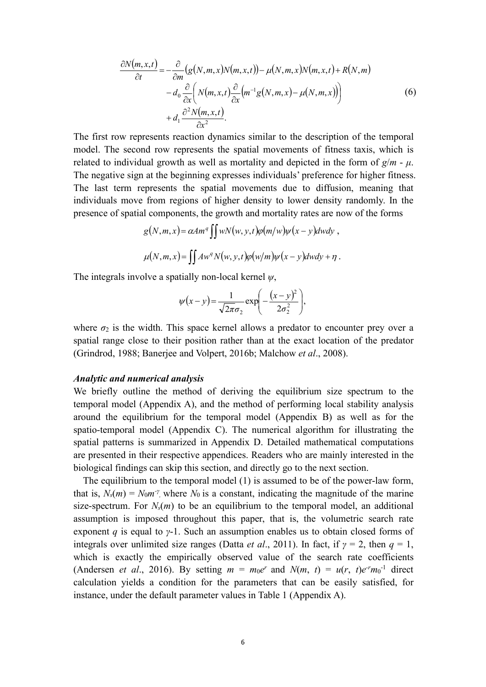$$
\frac{\partial N(m,x,t)}{\partial t} = -\frac{\partial}{\partial m} \left( g(N,m,x)N(m,x,t) \right) - \mu(N,m,x)N(m,x,t) + R(N,m) \n- d_0 \frac{\partial}{\partial x} \left( N(m,x,t) \frac{\partial}{\partial x} \left( m^{-1} g(N,m,x) - \mu(N,m,x) \right) \right) \n+ d_1 \frac{\partial^2 N(m,x,t)}{\partial x^2}.
$$
\n(6)

The first row represents reaction dynamics similar to the description of the temporal model. The second row represents the spatial movements of fitness taxis, which is related to individual growth as well as mortality and depicted in the form of  $g/m - \mu$ . The negative sign at the beginning expresses individuals' preference for higher fitness. The last term represents the spatial movements due to diffusion, meaning that individuals move from regions of higher density to lower density randomly. In the presence of spatial components, the growth and mortality rates are now of the forms

$$
g(N,m,x) = \alpha A m^q \iint wN(w, y, t)\rho(m/w)\psi(x - y)dwdy,
$$
  

$$
\mu(N,m,x) = \iint A w^q N(w, y, t)\rho(w/m)\psi(x - y)dwdy + \eta.
$$

The integrals involve a spatially non-local kernel *ψ*,

$$
\psi(x-y) = \frac{1}{\sqrt{2\pi}\sigma_2} \exp\left(-\frac{(x-y)^2}{2\sigma_2^2}\right),\,
$$

where  $\sigma_2$  is the width. This space kernel allows a predator to encounter prey over a spatial range close to their position rather than at the exact location of the predator (Grindrod, 1988; Banerjee and Volpert, 2016b; Malchow *et al*., 2008).

## *Analytic and numerical analysis*

We briefly outline the method of deriving the equilibrium size spectrum to the temporal model (Appendix A), and the method of performing local stability analysis around the equilibrium for the temporal model (Appendix B) as well as for the spatio-temporal model (Appendix C). The numerical algorithm for illustrating the spatial patterns is summarized in Appendix D. Detailed mathematical computations are presented in their respective appendices. Readers who are mainly interested in the biological findings can skip this section, and directly go to the next section.

The equilibrium to the temporal model (1) is assumed to be of the power-law form, that is,  $N_s(m) = N_0 m \gamma$ , where  $N_0$  is a constant, indicating the magnitude of the marine size-spectrum. For  $N_s(m)$  to be an equilibrium to the temporal model, an additional assumption is imposed throughout this paper, that is, the volumetric search rate exponent *q* is equal to *γ*-1. Such an assumption enables us to obtain closed forms of integrals over unlimited size ranges (Datta *et al.*, 2011). In fact, if  $\gamma = 2$ , then  $q = 1$ , which is exactly the empirically observed value of the search rate coefficients (Andersen *et al.*, 2016). By setting  $m = m_0e^r$  and  $N(m, t) = u(r, t)e^{r}m_0^{-1}$  direct calculation yields a condition for the parameters that can be easily satisfied, for instance, under the default parameter values in Table 1 (Appendix A).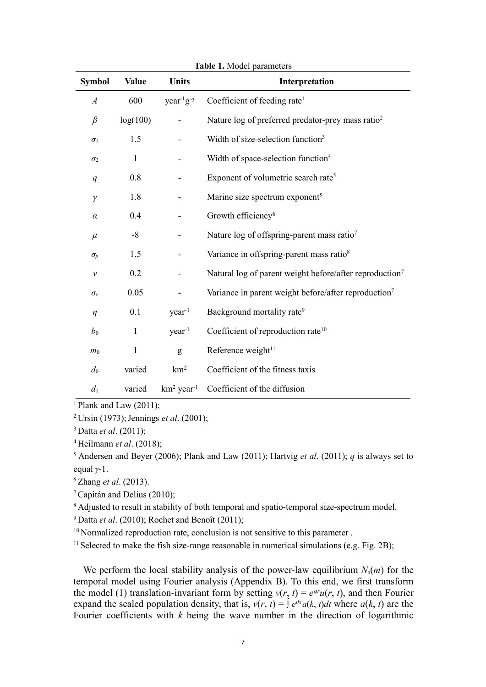| Symbol           | <b>Value</b> | Units                     | Interpretation                                                      |
|------------------|--------------|---------------------------|---------------------------------------------------------------------|
| $\boldsymbol{A}$ | 600          | $year-1g-q$               | Coefficient of feeding rate <sup>1</sup>                            |
| $\beta$          | log(100)     |                           | Nature log of preferred predator-prey mass ratio <sup>2</sup>       |
| $\sigma_1$       | 1.5          |                           | Width of size-selection function <sup>3</sup>                       |
| $\sigma_2$       | $\mathbf{1}$ |                           | Width of space-selection function <sup>4</sup>                      |
| q                | 0.8          |                           | Exponent of volumetric search rate <sup>5</sup>                     |
| $\gamma$         | 1.8          |                           | Marine size spectrum exponent <sup>5</sup>                          |
| $\alpha$         | 0.4          |                           | Growth efficiency <sup>6</sup>                                      |
| $\mu$            | $-8$         |                           | Nature log of offspring-parent mass ratio <sup>7</sup>              |
| $\sigma_{\mu}$   | 1.5          |                           | Variance in offspring-parent mass ratio <sup>8</sup>                |
| $\mathcal V$     | 0.2          |                           | Natural log of parent weight before/after reproduction <sup>7</sup> |
| $\sigma_v$       | 0.05         |                           | Variance in parent weight before/after reproduction <sup>7</sup>    |
| $\eta$           | 0.1          | $year-1$                  | Background mortality rate <sup>9</sup>                              |
| $b_0$            | $\mathbf{1}$ | year <sup>-1</sup>        | Coefficient of reproduction rate <sup>10</sup>                      |
| m <sub>0</sub>   | $\mathbf{1}$ | g                         | Reference weight <sup>11</sup>                                      |
| $d_0$            | varied       | km <sup>2</sup>           | Coefficient of the fitness taxis                                    |
| $d_1$            | varied       | $km^2$ year <sup>-1</sup> | Coefficient of the diffusion                                        |

**Table 1.** Model parameters

 $\frac{1}{1}$ Plank and Law (2011);

<sup>2</sup> Ursin (1973); Jennings *et al*. (2001);

<sup>3</sup> Datta *et al*. (2011);

<sup>4</sup> Heilmann *et al*. (2018);

 $^5$  Andersen and Beyer (2006); Plank and Law (2011); Hartvig *et al.* (2011); *q* is always set to equal *γ*-1.

<sup>6</sup> Zhang *et al*. (2013).

<sup>7</sup>Capitán and Delius (2010);

<sup>8</sup> Adjusted to result in stability of both temporal and spatio-temporal size-spectrum model.

<sup>9</sup> Datta *et al*. (2010); Rochet and Benoît (2011);

 $10$  Normalized reproduction rate, conclusion is not sensitive to this parameter.

<sup>11</sup> Selected to make the fish size-range reasonable in numerical simulations (e.g. Fig. 2B);

We perform the local stability analysis of the power-law equilibrium  $N_s(m)$  for the temporal model using Fourier analysis (Appendix B). To this end, we first transform the model (1) translation-invariant form by setting  $v(r, t) = e^{qr}u(r, t)$ , and then Fourier expand the scaled population density, that is,  $v(r, t) = \int e^{ikr} a(k, t) dt$  where  $a(k, t)$  are the Fourier coefficients with  $k$  being the wave number in the direction of logarithmic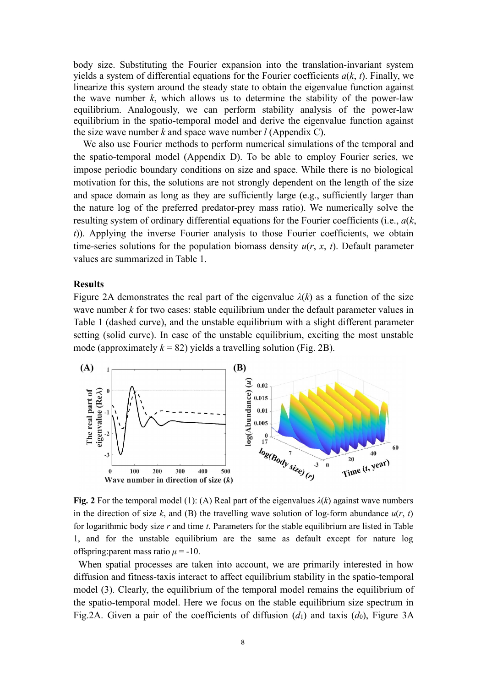body size. Substituting the Fourier expansion into the translation-invariant system yields a system of differential equations for the Fourier coefficients *a*(*k*, *t*). Finally, we linearize this system around the steady state to obtain the eigenvalue function against the wave number  $k$ , which allows us to determine the stability of the power-law equilibrium. Analogously, we can perform stability analysis of the power-law equilibrium in the spatio-temporal model and derive the eigenvalue function against the size wave number *k* and space wave number *l* (Appendix C).

We also use Fourier methods to perform numerical simulations of the temporal and the spatio-temporal model (Appendix D). To be able to employ Fourier series, we impose periodic boundary conditions on size and space. While there is no biological motivation for this, the solutions are not strongly dependent on the length of the size and space domain as long as they are sufficiently large (e.g., sufficiently larger than the nature log of the preferred predator-prey mass ratio). We numerically solve the resulting system of ordinary differential equations for the Fourier coefficients (i.e., *a*(*k*, *t*)). Applying the inverse Fourier analysis to those Fourier coefficients, we obtain time-series solutions for the population biomass density *u*(*r*, *x*, *t*). Default parameter values are summarized in Table 1.

### **Results**

Figure 2A demonstrates the real part of the eigenvalue  $\lambda(k)$  as a function of the size wave number *k* for two cases: stable equilibrium under the default parameter values in Table 1 (dashed curve), and the unstable equilibrium with a slight different parameter setting (solid curve). In case of the unstable equilibrium, exciting the most unstable mode (approximately  $k = 82$ ) yields a travelling solution (Fig. 2B).



**Fig. 2** For the temporal model (1): (A) Real part of the eigenvalues  $\lambda(k)$  against wave numbers in the direction of size *k*, and (B) the travelling wave solution of log-form abundance  $u(r, t)$ for logarithmic body size *r* and time *t*. Parameters for the stable equilibrium are listed in Table 1, and for the unstable equilibrium are the same as default except for nature log offspring: parent mass ratio  $\mu = -10$ .

When spatial processes are taken into account, we are primarily interested in how diffusion and fitness-taxis interact to affect equilibrium stability in the spatio-temporal model (3). Clearly, the equilibrium of the temporal model remains the equilibrium of the spatio-temporal model. Here we focus on the stable equilibrium size spectrum in Fig.2A. Given a pair of the coefficients of diffusion  $(d_1)$  and taxis  $(d_0)$ , Figure 3A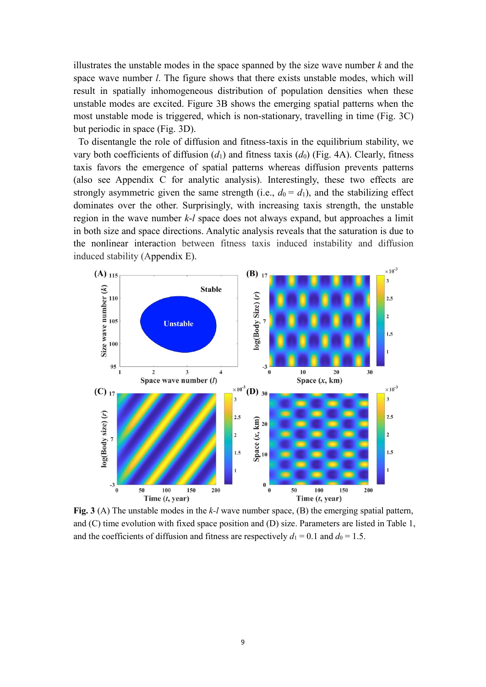illustrates the unstable modes in the space spanned by the size wave number *k* and the space wave number *l*. The figure shows that there exists unstable modes, which will result in spatially inhomogeneous distribution of population densities when these unstable modes are excited. Figure 3B shows the emerging spatial patterns when the most unstable mode is triggered, which is non-stationary, travelling in time (Fig. 3C) but periodic in space (Fig. 3D).

To disentangle the role of diffusion and fitness-taxis in the equilibrium stability, we vary both coefficients of diffusion (*d*1) and fitness taxis (*d*0) (Fig. 4A). Clearly, fitness taxis favors the emergence of spatial patterns whereas diffusion prevents patterns (also see Appendix C for analytic analysis). Interestingly, these two effects are strongly asymmetric given the same strength (i.e.,  $d_0 = d_1$ ), and the stabilizing effect dominates over the other. Surprisingly, with increasing taxis strength, the unstable region in the wave number *k*-*l* space does not always expand, but approaches a limit in both size and space directions. Analytic analysis reveals that the saturation is due to the nonlinear interaction between fitness taxis induced instability and diffusion induced stability (Appendix E).



**Fig. 3** (A) The unstable modes in the *k-l* wave number space, (B) the emerging spatial pattern, and (C) time evolution with fixed space position and (D) size. Parameters are listed in Table 1, and the coefficients of diffusion and fitness are respectively  $d_1 = 0.1$  and  $d_0 = 1.5$ .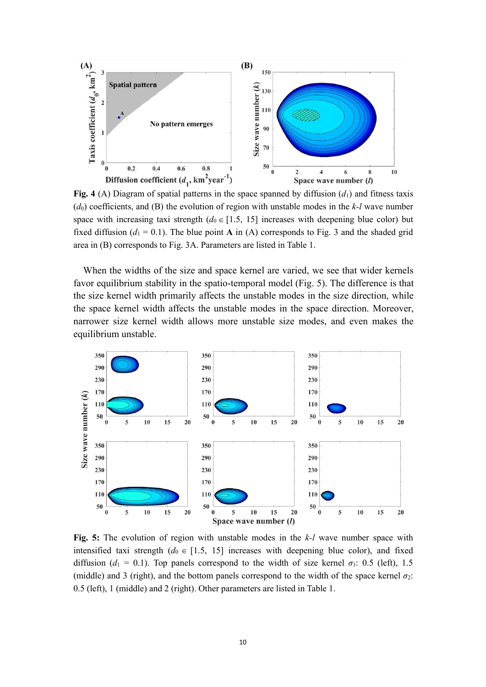

**Fig. 4** (A) Diagram of spatial patterns in the space spanned by diffusion  $(d_1)$  and fitness taxis (*d*0) coefficients, and (B) the evolution of region with unstable modes in the *k-l* wave number space with increasing taxi strength  $(d_0 \in [1.5, 15]$  increases with deepening blue color) but fixed diffusion ( $d_1 = 0.1$ ). The blue point **A** in (A) corresponds to Fig. 3 and the shaded grid area in (B) corresponds to Fig. 3A. Parameters are listed in Table 1.

When the widths of the size and space kernel are varied, we see that wider kernels favor equilibrium stability in the spatio-temporal model (Fig. 5). The difference is that the size kernel width primarily affects the unstable modes in the size direction, while the space kernel width affects the unstable modes in the space direction. Moreover, narrower size kernel width allows more unstable size modes, and even makes the equilibrium unstable.



**Fig. 5:** The evolution of region with unstable modes in the *k-l* wave number space with intensified taxi strength  $(d_0 \in [1.5, 15]$  increases with deepening blue color), and fixed diffusion ( $d_1 = 0.1$ ). Top panels correspond to the width of size kernel  $\sigma_1$ : 0.5 (left), 1.5 (middle) and 3 (right), and the bottom panels correspond to the width of the space kernel  $\sigma_2$ : 0.5 (left), 1 (middle) and 2 (right). Other parameters are listed in Table 1.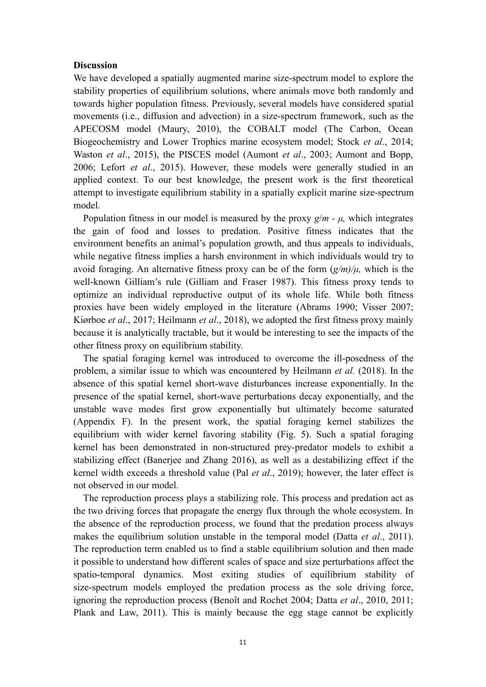# **Discussion**

We have developed a spatially augmented marine size-spectrum model to explore the stability properties of equilibrium solutions, where animals move both randomly and towards higher population fitness. Previously, several models have considered spatial movements (i.e., diffusion and advection) in a size-spectrum framework, such as the APECOSM model (Maury, 2010), the COBALT model (The Carbon, Ocean Biogeochemistry and Lower Trophics marine ecosystem model; Stock *et al*., 2014; Waston *et al*., 2015), the PISCES model (Aumont *et al*., 2003; Aumont and Bopp, 2006; Lefort *et al*., 2015). However, these models were generally studied in an applied context. To our best knowledge, the present work is the first theoretical attempt to investigate equilibrium stability in a spatially explicit marine size-spectrum model.

Population fitness in our model is measured by the proxy *g*/*m - μ,* which integrates the gain of food and losses to predation. Positive fitness indicates that the environment benefits an animal's population growth, and thus appeals to individuals, while negative fitness implies a harsh environment in which individuals would try to avoid foraging. An alternative fitness proxy can be of the form (*g/m)/μ,* which is the well-known Gilliam's rule (Gilliam and Fraser 1987). This fitness proxy tends to optimize an individual reproductive output of its whole life. While both fitness proxies have been widely employed in the literature (Abrams 1990; Visser 2007; Kiørboe *et al*., 2017; Heilmann *et al*., 2018), we adopted the first fitness proxy mainly because it is analytically tractable, but it would be interesting to see the impacts of the other fitness proxy on equilibrium stability.

The spatial foraging kernel was introduced to overcome the ill-posedness of the problem, a similar issue to which was encountered by Heilmann *et al.* (2018). In the absence of this spatial kernel short-wave disturbances increase exponentially. In the presence of the spatial kernel, short-wave perturbations decay exponentially, and the unstable wave modes first grow exponentially but ultimately become saturated (Appendix F). In the present work, the spatial foraging kernel stabilizes the equilibrium with wider kernel favoring stability (Fig. 5). Such a spatial foraging kernel has been demonstrated in non-structured prey-predator models to exhibit a stabilizing effect (Banerjee and Zhang 2016), as well as a destabilizing effect if the kernel width exceeds a threshold value (Pal *et al*., 2019); however, the later effect is not observed in our model.

The reproduction process plays a stabilizing role. This process and predation act as the two driving forces that propagate the energy flux through the whole ecosystem. In the absence of the reproduction process, we found that the predation process always makes the equilibrium solution unstable in the temporal model (Datta *et al*., 2011). The reproduction term enabled us to find a stable equilibrium solution and then made it possible to understand how different scales of space and size perturbations affect the spatio-temporal dynamics. Most exiting studies of equilibrium stability of size-spectrum models employed the predation process as the sole driving force, ignoring the reproduction process (Benoît and Rochet 2004; Datta *et al*., 2010, 2011; Plank and Law, 2011). This is mainly because the egg stage cannot be explicitly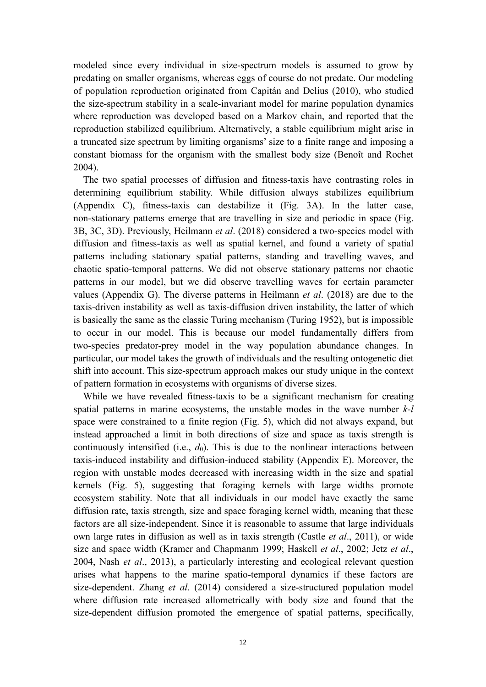modeled since every individual in size-spectrum models is assumed to grow by predating on smaller organisms, whereas eggs of course do not predate. Our modeling of population reproduction originated from Capitán and Delius (2010), who studied the size-spectrum stability in a scale-invariant model for marine population dynamics where reproduction was developed based on a Markov chain, and reported that the reproduction stabilized equilibrium. Alternatively, a stable equilibrium might arise in a truncated size spectrum by limiting organisms' size to a finite range and imposing a constant biomass for the organism with the smallest body size (Benoît and Rochet 2004).

The two spatial processes of diffusion and fitness-taxis have contrasting roles in determining equilibrium stability. While diffusion always stabilizes equilibrium (Appendix C), fitness-taxis can destabilize it (Fig. 3A). In the latter case, non-stationary patterns emerge that are travelling in size and periodic in space (Fig. 3B, 3C, 3D). Previously, Heilmann *et al*. (2018) considered a two-species model with diffusion and fitness-taxis as well as spatial kernel, and found a variety of spatial patterns including stationary spatial patterns, standing and travelling waves, and chaotic spatio-temporal patterns. We did not observe stationary patterns nor chaotic patterns in our model, but we did observe travelling waves for certain parameter values (Appendix G). The diverse patterns in Heilmann *et al*. (2018) are due to the taxis-driven instability as well as taxis-diffusion driven instability, the latter of which is basically the same as the classic Turing mechanism (Turing 1952), but is impossible to occur in our model. This is because our model fundamentally differs from two-species predator-prey model in the way population abundance changes. In particular, our model takes the growth of individuals and the resulting ontogenetic diet shift into account. This size-spectrum approach makes our study unique in the context of pattern formation in ecosystems with organisms of diverse sizes.

While we have revealed fitness-taxis to be a significant mechanism for creating spatial patterns in marine ecosystems, the unstable modes in the wave number *k*-*l* space were constrained to a finite region (Fig. 5), which did not always expand, but instead approached a limit in both directions of size and space as taxis strength is continuously intensified (i.e.,  $d_0$ ). This is due to the nonlinear interactions between taxis-induced instability and diffusion-induced stability (Appendix E). Moreover, the region with unstable modes decreased with increasing width in the size and spatial kernels (Fig. 5), suggesting that foraging kernels with large widths promote ecosystem stability. Note that all individuals in our model have exactly the same diffusion rate, taxis strength, size and space foraging kernel width, meaning that these factors are all size-independent. Since it is reasonable to assume that large individuals own large rates in diffusion as well as in taxis strength (Castle *et al*., 2011), or wide size and space width (Kramer and Chapmanm 1999; Haskell *et al*., 2002; Jetz *et al*., 2004, Nash *et al*., 2013), a particularly interesting and ecological relevant question arises what happens to the marine spatio-temporal dynamics if these factors are size-dependent. Zhang *et al*. (2014) considered a size-structured population model where diffusion rate increased allometrically with body size and found that the size-dependent diffusion promoted the emergence of spatial patterns, specifically,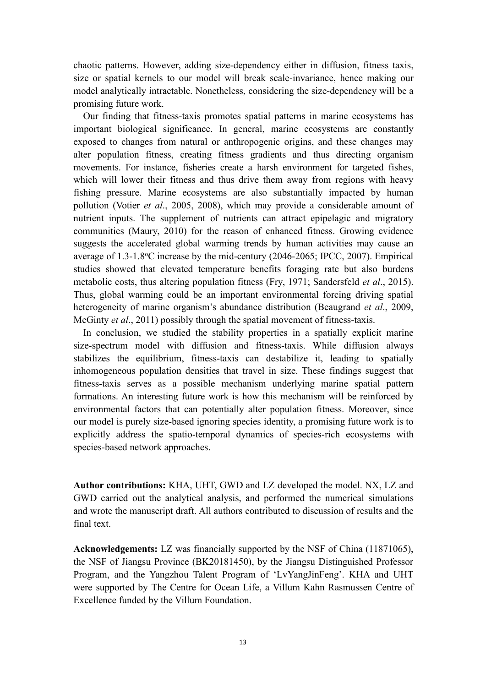chaotic patterns. However, adding size-dependency either in diffusion, fitness taxis, size or spatial kernels to our model will break scale-invariance, hence making our model analytically intractable. Nonetheless, considering the size-dependency will be a promising future work.

Our finding that fitness-taxis promotes spatial patterns in marine ecosystems has important biological significance. In general, marine ecosystems are constantly exposed to changes from natural or anthropogenic origins, and these changes may alter population fitness, creating fitness gradients and thus directing organism movements. For instance, fisheries create a harsh environment for targeted fishes, which will lower their fitness and thus drive them away from regions with heavy fishing pressure. Marine ecosystems are also substantially impacted by human pollution (Votier *et al*., 2005, 2008), which may provide a considerable amount of nutrient inputs. The supplement of nutrients can attract epipelagic and migratory communities (Maury, 2010) for the reason of enhanced fitness. Growing evidence suggests the accelerated global warming trends by human activities may cause an average of 1.3-1.8<sup>o</sup>C increase by the mid-century (2046-2065; IPCC, 2007). Empirical studies showed that elevated temperature benefits foraging rate but also burdens metabolic costs, thus altering population fitness (Fry, 1971; Sandersfeld *et al*., 2015). Thus, global warming could be an important environmental forcing driving spatial heterogeneity of marine organism's abundance distribution (Beaugrand *et al*., 2009, McGinty *et al*., 2011) possibly through the spatial movement of fitness-taxis.

In conclusion, we studied the stability properties in a spatially explicit marine size-spectrum model with diffusion and fitness-taxis. While diffusion always stabilizes the equilibrium, fitness-taxis can destabilize it, leading to spatially inhomogeneous population densities that travel in size. These findings suggest that fitness-taxis serves as a possible mechanism underlying marine spatial pattern formations. An interesting future work is how this mechanism will be reinforced by environmental factors that can potentially alter population fitness. Moreover, since our model is purely size-based ignoring species identity, a promising future work is to explicitly address the spatio-temporal dynamics of species-rich ecosystems with species-based network approaches.

**Author contributions:** KHA, UHT, GWD and LZ developed the model. NX, LZ and GWD carried out the analytical analysis, and performed the numerical simulations and wrote the manuscript draft. All authors contributed to discussion of results and the final text.

**Acknowledgements:** LZ was financially supported by the NSF of China (11871065), the NSF of Jiangsu Province (BK20181450), by the Jiangsu Distinguished Professor Program, and the Yangzhou Talent Program of 'LvYangJinFeng'. KHA and UHT were supported by The Centre for Ocean Life, a Villum Kahn Rasmussen Centre of Excellence funded by the Villum Foundation.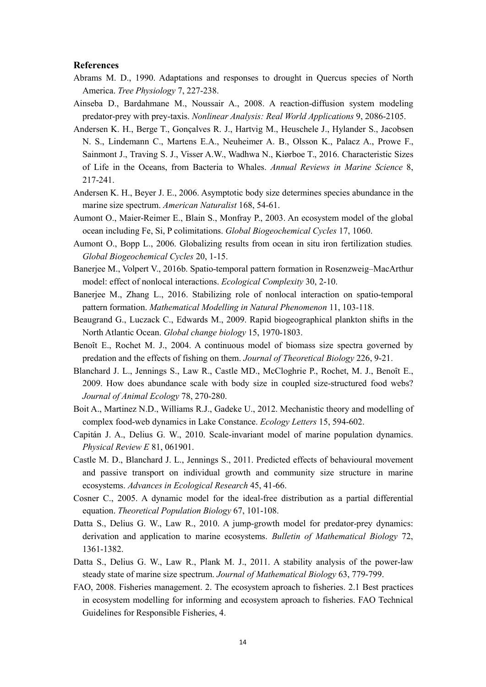### **References**

- Abrams M. D., 1990. Adaptations and responses to drought in Quercus species of North America. *Tree Physiology* 7, 227-238.
- Ainseba D., Bardahmane M., Noussair A., 2008. A reaction-diffusion system modeling predator-prey with prey-taxis. *Nonlinear Analysis: Real World Applications* 9, 2086-2105.
- Andersen K. H., Berge T., Gonçalves R. J., Hartvig M., Heuschele J., Hylander S., Jacobsen N. S., Lindemann C., Martens E.A., Neuheimer A. B., Olsson K., Palacz A., Prowe F., Sainmont J., Traving S. J., Visser A.W., Wadhwa N., Kiørboe T., 2016. Characteristic Sizes of Life in the Oceans, from Bacteria to Whales. *Annual Reviews in Marine Science* 8, 217-241.
- Andersen K. H., Beyer J. E., 2006. Asymptotic body size determines species abundance in the marine size spectrum. *American Naturalist* 168, 54-61.
- Aumont O., Maier-Reimer E., Blain S., Monfray P., 2003. An ecosystem model of the global ocean including Fe, Si, P colimitations. *Global Biogeochemical Cycles* 17, 1060.
- Aumont O., Bopp L., 2006. Globalizing results from ocean in situ iron fertilization studies*. Global Biogeochemical Cycles* 20, 1-15.
- Banerjee M., Volpert V., 2016b. Spatio-temporal pattern formation in Rosenzweig–MacArthur model: effect of nonlocal interactions. *Ecological Complexity* 30, 2-10.
- Banerjee M., Zhang L., 2016. Stabilizing role of nonlocal interaction on spatio-temporal pattern formation. *Mathematical Modelling in Natural Phenomenon* 11, 103-118.
- Beaugrand G., Luczack C., Edwards M., 2009. Rapid biogeographical plankton shifts in the North Atlantic Ocean. *Global change biology* 15, 1970-1803.
- Benoît E., Rochet M. J., 2004. A continuous model of biomass size spectra governed by predation and the effects of fishing on them. *Journal of Theoretical Biology* 226, 9-21.
- Blanchard J. L., Jennings S., Law R., Castle MD., McCloghrie P., Rochet, M. J., Benoît E., 2009. How does abundance scale with body size in coupled size-structured food webs? *Journal of Animal Ecology* 78, 270-280.
- Boit A., Martinez N.D., Williams R.J., Gadeke U., 2012. Mechanistic theory and modelling of complex food-web dynamics in Lake Constance. *Ecology Letters* 15, 594-602.
- Capitán J. A., Delius G. W., 2010. Scale-invariant model of marine population dynamics. *Physical Review E* 81, 061901.
- Castle M. D., Blanchard J. L., Jennings S., 2011. Predicted effects of behavioural movement and passive transport on individual growth and community size structure in marine ecosystems. *Advances in Ecological Research* 45, 41-66.
- Cosner C., 2005. A dynamic model for the ideal-free distribution as a partial differential equation. *Theoretical Population Biology* 67, 101-108.
- Datta S., Delius G. W., Law R., 2010. A jump-growth model for predator-prey dynamics: derivation and application to marine ecosystems. *Bulletin of Mathematical Biology* 72, 1361-1382.
- Datta S., Delius G. W., Law R., Plank M. J., 2011. A stability analysis of the power-law steady state of marine size spectrum. *Journal of Mathematical Biology* 63, 779-799.
- FAO, 2008. Fisheries management. 2. The ecosystem aproach to fisheries. 2.1 Best practices in ecosystem modelling for informing and ecosystem aproach to fisheries. FAO Technical Guidelines for Responsible Fisheries, 4.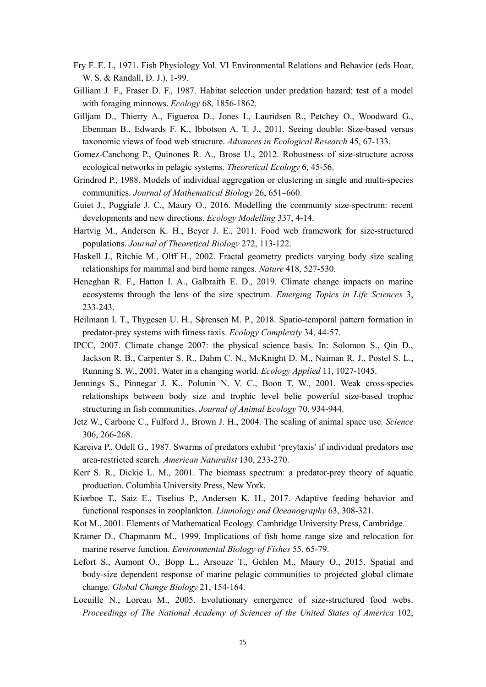- Fry F. E. I., 1971. Fish Physiology Vol. VI Environmental Relations and Behavior (eds Hoar, W. S. & Randall, D. J.), 1-99.
- Gilliam J. F., Fraser D. F., 1987. Habitat selection under predation hazard: test of a model with foraging minnows. *Ecology* 68, 1856-1862.
- Gilljam D., Thierry A., Figueroa D., Jones I., Lauridsen R., Petchey O., Woodward G., Ebenman B., Edwards F. K., Ibbotson A. T. J., 2011. Seeing double: Size-based versus taxonomic views of food web structure. *Advances in Ecological Research* 45, 67-133.
- Gomez-Canchong P., Quinones R. A., Brose U., 2012. Robustness of size-structure across ecological networks in pelagic systems. *Theoretical Ecology* 6, 45-56.
- Grindrod P., 1988. Models of individual aggregation or clustering in single and multi-species communities. *Journal of Mathematical Biology* 26, 651–660.
- Guiet J., Poggiale J. C., Maury O., 2016. Modelling the community size-spectrum: recent developments and new directions. *Ecology Modelling* 337, 4-14.
- Hartvig M., Andersen K. H., Beyer J. E., 2011. Food web framework for size-structured populations. *Journal of Theoretical Biology* 272, 113-122.
- Haskell J., Ritchie M., Olff H., 2002. Fractal geometry predicts varying body size scaling relationships for mammal and bird home ranges. *Nature* 418, 527-530.
- Heneghan R. F., Hatton I. A., Galbraith E. D., 2019. Climate change impacts on marine ecosystems through the lens of the size spectrum. *Emerging Topics in Life Sciences* 3, 233-243.
- Heilmann I. T., Thygesen U. H., Sϕrensen M. P., 2018. Spatio-temporal pattern formation in predator-prey systems with fitness taxis. *Ecology Complexity* 34, 44-57.
- IPCC, 2007. Climate change 2007: the physical science basis. In: Solomon S., Qin D., Jackson R. B., Carpenter S. R., Dahm C. N., McKnight D. M., Naiman R. J., Postel S. L., Running S. W., 2001. Water in a changing world. *Ecology Applied* 11, 1027-1045.
- Jennings S., Pinnegar J. K., Polunin N. V. C., Boon T. W., 2001. Weak cross-species relationships between body size and trophic level belie powerful size-based trophic structuring in fish communities. *Journal of Animal Ecology* 70, 934-944.
- Jetz W., Carbone C., Fulford J., Brown J. H., 2004. The scaling of animal space use. *Science* 306, 266-268.
- Kareiva P., Odell G., 1987. Swarms of predators exhibit 'preytaxis' if individual predators use area-restricted search. *American Naturalist* 130, 233-270.
- Kerr S. R., Dickie L. M., 2001. The biomass spectrum: a predator-prey theory of aquatic production. Columbia University Press, New York.
- Kiørboe T., Saiz E., Tiselius P., Andersen K. H., 2017. Adaptive feeding behavior and functional responses in zooplankton. *Limnology and Oceanography* 63, 308-321.
- Kot M., 2001. Elements of Mathematical Ecology. Cambridge University Press, Cambridge.
- Kramer D., Chapmanm M., 1999. Implications of fish home range size and relocation for marine reserve function. *Environmental Biology of Fishes* 55, 65-79.
- Lefort S., Aumont O., Bopp L., Arsouze T., Gehlen M., Maury O., 2015. Spatial and body-size dependent response of marine pelagic communities to projected global climate change. *Global Change Biology* 21, 154-164.
- Loeuille N., Loreau M., 2005. Evolutionary emergence of size-structured food webs. *Proceedings of The National Academy of Sciences of the United States of America* 102,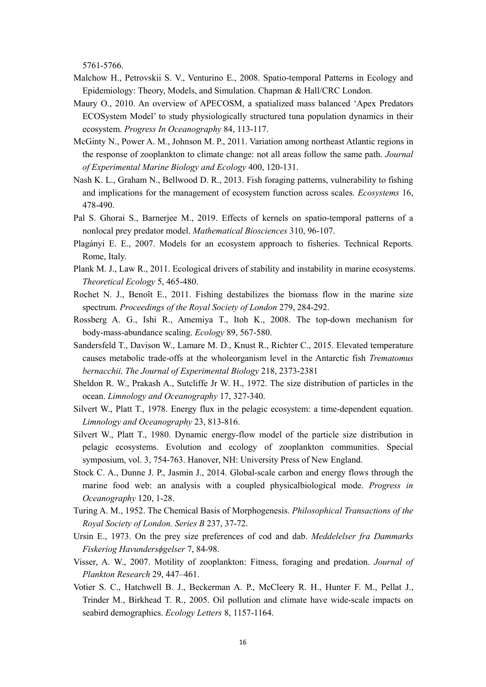5761-5766.

- Malchow H., Petrovskii S. V., Venturino E., 2008. Spatio-temporal Patterns in Ecology and Epidemiology: Theory, Models, and Simulation. Chapman & Hall/CRC London.
- Maury O., 2010. An overview of APECOSM, a spatialized mass balanced 'Apex Predators ECOSystem Model' to study physiologically structured tuna population dynamics in their ecosystem. *Progress In Oceanography* 84, 113-117.
- McGinty N., Power A. M., Johnson M. P., 2011. Variation among northeast Atlantic regions in the response of zooplankton to climate change: not all areas follow the same path. *Journal of Experimental Marine Biology and Ecology* 400, 120-131.
- Nash K. L., Graham N., Bellwood D. R., 2013. Fish foraging patterns, vulnerability to fishing and implications for the management of ecosystem function across scales. *Ecosystems* 16, 478-490.
- Pal S. Ghorai S., Barnerjee M., 2019. Effects of kernels on spatio-temporal patterns of a nonlocal prey predator model. *Mathematical Biosciences* 310, 96-107.
- Plagányi E. E., 2007. Models for an ecosystem approach to fisheries. Technical Reports. Rome, Italy.
- Plank M. J., Law R., 2011. Ecological drivers of stability and instability in marine ecosystems. *Theoretical Ecology* 5, 465-480.
- Rochet N. J., Benoît E., 2011. Fishing destabilizes the biomass flow in the marine size spectrum. *Proceedings of the Royal Society of London* 279, 284-292.
- Rossberg A. G., Ishi R., Amemiya T., Itoh K., 2008. The top-down mechanism for body-mass-abundance scaling. *Ecology* 89, 567-580.
- Sandersfeld T., Davison W., Lamare M. D., Knust R., Richter C., 2015. Elevated temperature causes metabolic trade-offs at the wholeorganism level in the Antarctic fish *Trematomus bernacchii*. *The Journal of Experimental Biology* 218, 2373-2381
- Sheldon R. W., Prakash A., Sutcliffe Jr W. H., 1972. The size distribution of particles in the ocean. *Limnology and Oceanography* 17, 327-340.
- Silvert W., Platt T., 1978. Energy flux in the pelagic ecosystem: a time-dependent equation. *Limnology and Oceanography* 23, 813-816.
- Silvert W., Platt T., 1980. Dynamic energy-flow model of the particle size distribution in pelagic ecosystems. Evolution and ecology of zooplankton communities. Special symposium, vol. 3, 754-763. Hanover, NH: University Press of New England.
- Stock C. A., Dunne J. P., Jasmin J., 2014. Global-scale carbon and energy flows through the marine food web: an analysis with a coupled physicalbiological mode. *Progress in Oceanography* 120, 1-28.
- Turing A. M., 1952. The Chemical Basis of Morphogenesis. *Philosophical Transactions of the Royal Society of London. Series B* 237, 37-72.
- Ursin E., 1973. On the prey size preferences of cod and dab. *Meddelelser fra Dammarks Fiskeriog Havundersϕgelser* 7, 84-98.
- Visser, A. W., 2007. Motility of zooplankton: Fitness, foraging and predation. *Journal of Plankton Research* 29, 447–461.
- Votier S. C., Hatchwell B. J., Beckerman A. P., McCleery R. H., Hunter F. M., Pellat J., Trinder M., Birkhead T. R., 2005. Oil pollution and climate have wide-scale impacts on seabird demographics. *Ecology Letters* 8, 1157-1164.